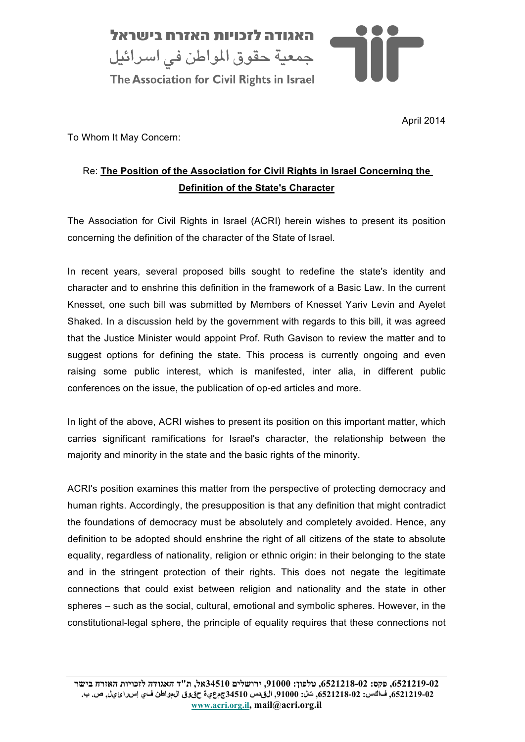האגודה לזכויות האזרח בישראל جمعية حقوق المواطن في اسرائيل

The Association for Civil Rights in Israel

April 2014

To Whom It May Concern:

## Re: **The Position of the Association for Civil Rights in Israel Concerning the Definition of the State's Character**

The Association for Civil Rights in Israel (ACRI) herein wishes to present its position concerning the definition of the character of the State of Israel.

In recent years, several proposed bills sought to redefine the state's identity and character and to enshrine this definition in the framework of a Basic Law. In the current Knesset, one such bill was submitted by Members of Knesset Yariv Levin and Ayelet Shaked. In a discussion held by the government with regards to this bill, it was agreed that the Justice Minister would appoint Prof. Ruth Gavison to review the matter and to suggest options for defining the state. This process is currently ongoing and even raising some public interest, which is manifested, inter alia, in different public conferences on the issue, the publication of op-ed articles and more.

In light of the above, ACRI wishes to present its position on this important matter, which carries significant ramifications for Israel's character, the relationship between the majority and minority in the state and the basic rights of the minority.

ACRI's position examines this matter from the perspective of protecting democracy and human rights. Accordingly, the presupposition is that any definition that might contradict the foundations of democracy must be absolutely and completely avoided. Hence, any definition to be adopted should enshrine the right of all citizens of the state to absolute equality, regardless of nationality, religion or ethnic origin: in their belonging to the state and in the stringent protection of their rights. This does not negate the legitimate connections that could exist between religion and nationality and the state in other spheres – such as the social, cultural, emotional and symbolic spheres. However, in the constitutional-legal sphere, the principle of equality requires that these connections not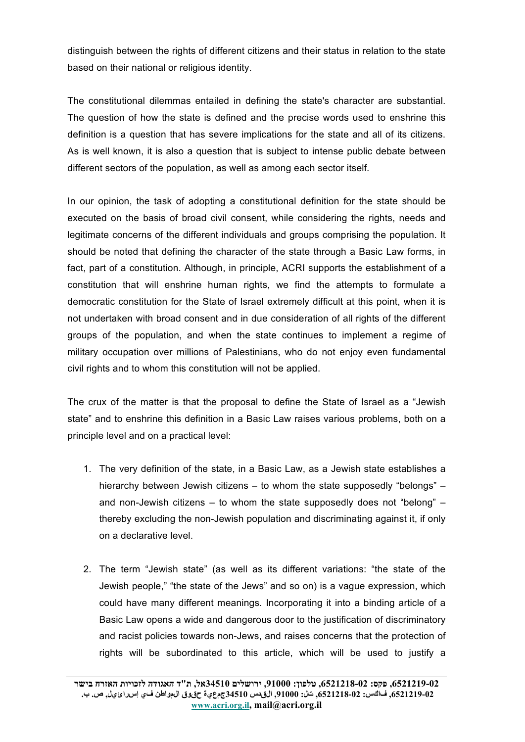distinguish between the rights of different citizens and their status in relation to the state based on their national or religious identity.

The constitutional dilemmas entailed in defining the state's character are substantial. The question of how the state is defined and the precise words used to enshrine this definition is a question that has severe implications for the state and all of its citizens. As is well known, it is also a question that is subject to intense public debate between different sectors of the population, as well as among each sector itself.

In our opinion, the task of adopting a constitutional definition for the state should be executed on the basis of broad civil consent, while considering the rights, needs and legitimate concerns of the different individuals and groups comprising the population. It should be noted that defining the character of the state through a Basic Law forms, in fact, part of a constitution. Although, in principle, ACRI supports the establishment of a constitution that will enshrine human rights, we find the attempts to formulate a democratic constitution for the State of Israel extremely difficult at this point, when it is not undertaken with broad consent and in due consideration of all rights of the different groups of the population, and when the state continues to implement a regime of military occupation over millions of Palestinians, who do not enjoy even fundamental civil rights and to whom this constitution will not be applied.

The crux of the matter is that the proposal to define the State of Israel as a "Jewish state" and to enshrine this definition in a Basic Law raises various problems, both on a principle level and on a practical level:

- 1. The very definition of the state, in a Basic Law, as a Jewish state establishes a hierarchy between Jewish citizens – to whom the state supposedly "belongs" – and non-Jewish citizens – to whom the state supposedly does not "belong" – thereby excluding the non-Jewish population and discriminating against it, if only on a declarative level.
- 2. The term "Jewish state" (as well as its different variations: "the state of the Jewish people," "the state of the Jews" and so on) is a vague expression, which could have many different meanings. Incorporating it into a binding article of a Basic Law opens a wide and dangerous door to the justification of discriminatory and racist policies towards non-Jews, and raises concerns that the protection of rights will be subordinated to this article, which will be used to justify a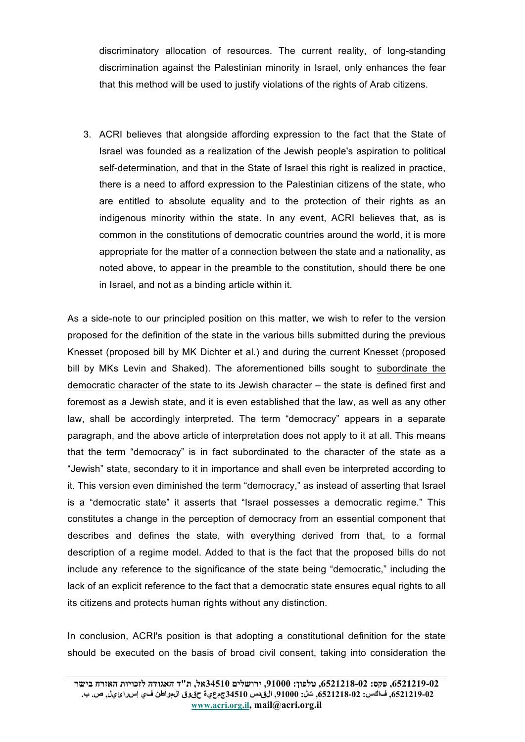discriminatory allocation of resources. The current reality, of long-standing discrimination against the Palestinian minority in Israel, only enhances the fear that this method will be used to justify violations of the rights of Arab citizens.

3. ACRI believes that alongside affording expression to the fact that the State of Israel was founded as a realization of the Jewish people's aspiration to political self-determination, and that in the State of Israel this right is realized in practice, there is a need to afford expression to the Palestinian citizens of the state, who are entitled to absolute equality and to the protection of their rights as an indigenous minority within the state. In any event, ACRI believes that, as is common in the constitutions of democratic countries around the world, it is more appropriate for the matter of a connection between the state and a nationality, as noted above, to appear in the preamble to the constitution, should there be one in Israel, and not as a binding article within it.

As a side-note to our principled position on this matter, we wish to refer to the version proposed for the definition of the state in the various bills submitted during the previous Knesset (proposed bill by MK Dichter et al.) and during the current Knesset (proposed bill by MKs Levin and Shaked). The aforementioned bills sought to subordinate the democratic character of the state to its Jewish character – the state is defined first and foremost as a Jewish state, and it is even established that the law, as well as any other law, shall be accordingly interpreted. The term "democracy" appears in a separate paragraph, and the above article of interpretation does not apply to it at all. This means that the term "democracy" is in fact subordinated to the character of the state as a "Jewish" state, secondary to it in importance and shall even be interpreted according to it. This version even diminished the term "democracy," as instead of asserting that Israel is a "democratic state" it asserts that "Israel possesses a democratic regime." This constitutes a change in the perception of democracy from an essential component that describes and defines the state, with everything derived from that, to a formal description of a regime model. Added to that is the fact that the proposed bills do not include any reference to the significance of the state being "democratic," including the lack of an explicit reference to the fact that a democratic state ensures equal rights to all its citizens and protects human rights without any distinction.

In conclusion, ACRI's position is that adopting a constitutional definition for the state should be executed on the basis of broad civil consent, taking into consideration the